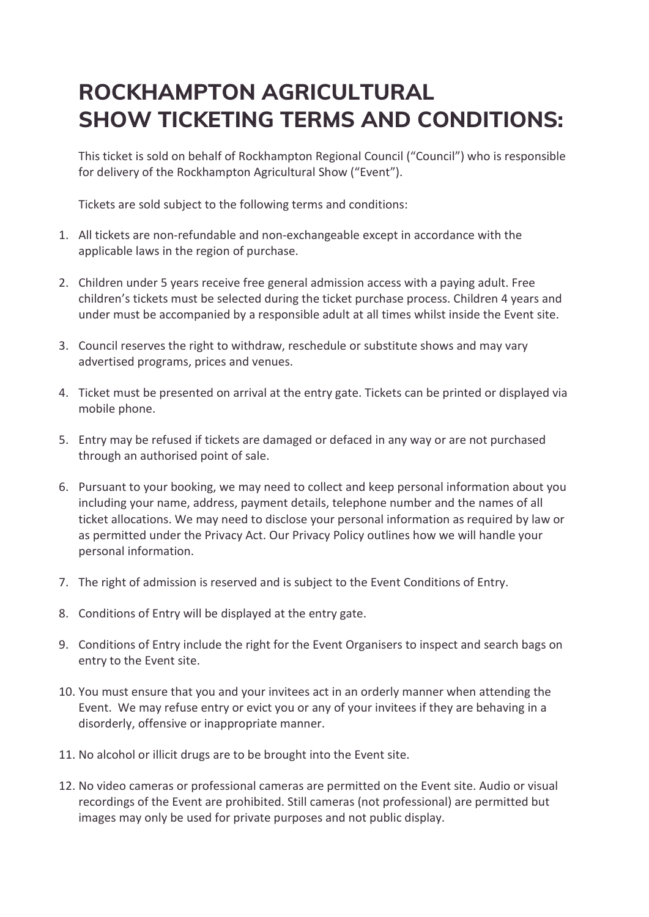# **ROCKHAMPTON AGRICULTURAL SHOW TICKETING TERMS AND CONDITIONS:**

This ticket is sold on behalf of Rockhampton Regional Council ("Council") who is responsible for delivery of the Rockhampton Agricultural Show ("Event").

Tickets are sold subject to the following terms and conditions:

- 1. All tickets are non-refundable and non-exchangeable except in accordance with the applicable laws in the region of purchase.
- 2. Children under 5 years receive free general admission access with a paying adult. Free children's tickets must be selected during the ticket purchase process. Children 4 years and under must be accompanied by a responsible adult at all times whilst inside the Event site.
- 3. Council reserves the right to withdraw, reschedule or substitute shows and may vary advertised programs, prices and venues.
- 4. Ticket must be presented on arrival at the entry gate. Tickets can be printed or displayed via mobile phone.
- 5. Entry may be refused if tickets are damaged or defaced in any way or are not purchased through an authorised point of sale.
- 6. Pursuant to your booking, we may need to collect and keep personal information about you including your name, address, payment details, telephone number and the names of all ticket allocations. We may need to disclose your personal information as required by law or as permitted under the Privacy Act. Our Privacy Policy outlines how we will handle your personal information.
- 7. The right of admission is reserved and is subject to the Event Conditions of Entry.
- 8. Conditions of Entry will be displayed at the entry gate.
- 9. Conditions of Entry include the right for the Event Organisers to inspect and search bags on entry to the Event site.
- 10. You must ensure that you and your invitees act in an orderly manner when attending the Event. We may refuse entry or evict you or any of your invitees if they are behaving in a disorderly, offensive or inappropriate manner.
- 11. No alcohol or illicit drugs are to be brought into the Event site.
- 12. No video cameras or professional cameras are permitted on the Event site. Audio or visual recordings of the Event are prohibited. Still cameras (not professional) are permitted but images may only be used for private purposes and not public display.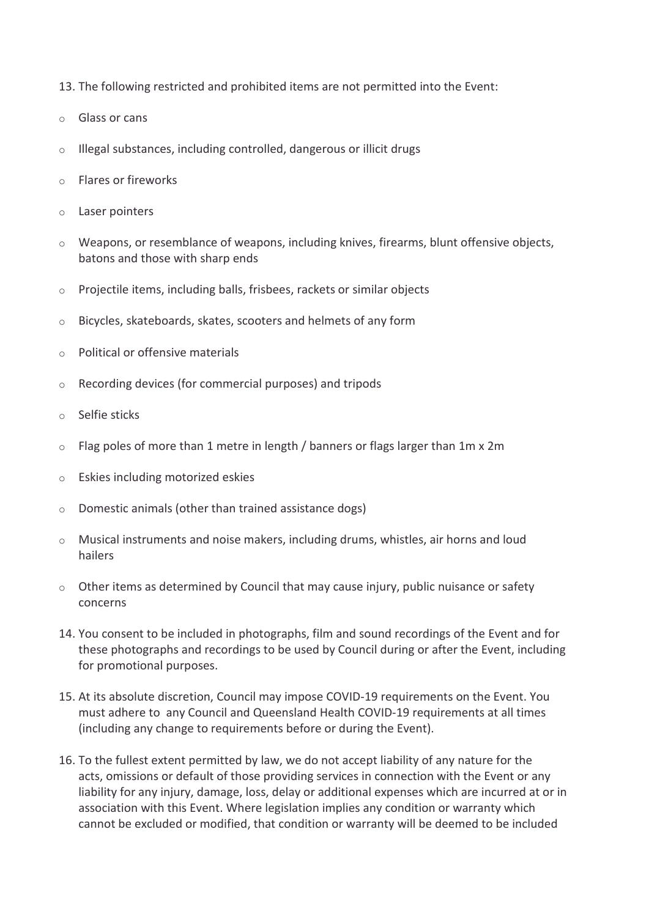- 13. The following restricted and prohibited items are not permitted into the Event:
- o Glass or cans
- o Illegal substances, including controlled, dangerous or illicit drugs
- o Flares or fireworks
- o Laser pointers
- $\circ$  Weapons, or resemblance of weapons, including knives, firearms, blunt offensive objects, batons and those with sharp ends
- o Projectile items, including balls, frisbees, rackets or similar objects
- o Bicycles, skateboards, skates, scooters and helmets of any form
- o Political or offensive materials
- o Recording devices (for commercial purposes) and tripods
- Selfie sticks
- $\circ$  Flag poles of more than 1 metre in length / banners or flags larger than 1m x 2m
- o Eskies including motorized eskies
- o Domestic animals (other than trained assistance dogs)
- o Musical instruments and noise makers, including drums, whistles, air horns and loud hailers
- $\circ$  Other items as determined by Council that may cause injury, public nuisance or safety concerns
- 14. You consent to be included in photographs, film and sound recordings of the Event and for these photographs and recordings to be used by Council during or after the Event, including for promotional purposes.
- 15. At its absolute discretion, Council may impose COVID-19 requirements on the Event. You must adhere to any Council and Queensland Health COVID-19 requirements at all times (including any change to requirements before or during the Event).
- 16. To the fullest extent permitted by law, we do not accept liability of any nature for the acts, omissions or default of those providing services in connection with the Event or any liability for any injury, damage, loss, delay or additional expenses which are incurred at or in association with this Event. Where legislation implies any condition or warranty which cannot be excluded or modified, that condition or warranty will be deemed to be included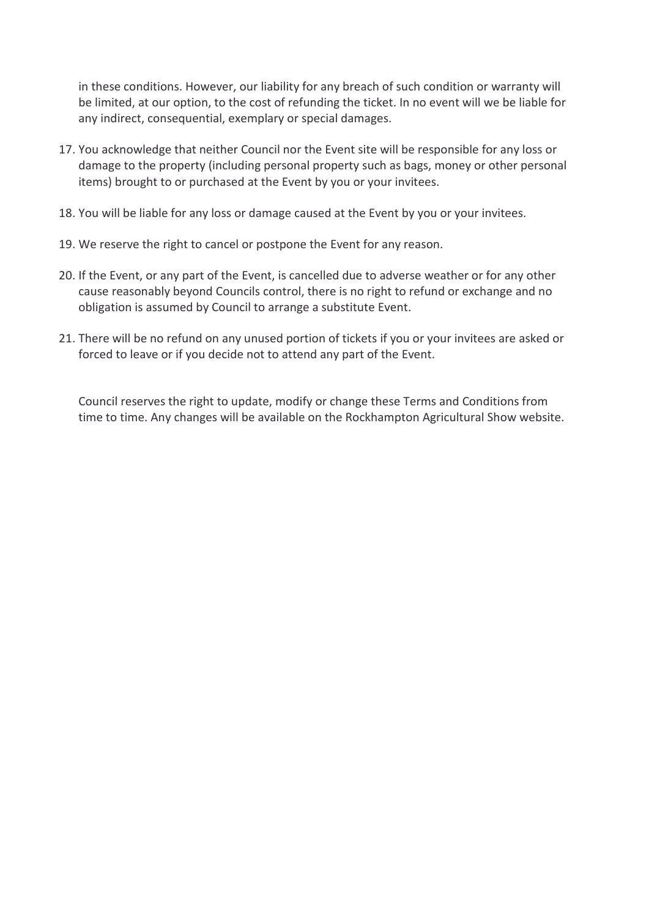in these conditions. However, our liability for any breach of such condition or warranty will be limited, at our option, to the cost of refunding the ticket. In no event will we be liable for any indirect, consequential, exemplary or special damages.

- 17. You acknowledge that neither Council nor the Event site will be responsible for any loss or damage to the property (including personal property such as bags, money or other personal items) brought to or purchased at the Event by you or your invitees.
- 18. You will be liable for any loss or damage caused at the Event by you or your invitees.
- 19. We reserve the right to cancel or postpone the Event for any reason.
- 20. If the Event, or any part of the Event, is cancelled due to adverse weather or for any other cause reasonably beyond Councils control, there is no right to refund or exchange and no obligation is assumed by Council to arrange a substitute Event.
- 21. There will be no refund on any unused portion of tickets if you or your invitees are asked or forced to leave or if you decide not to attend any part of the Event.

Council reserves the right to update, modify or change these Terms and Conditions from time to time. Any changes will be available on the Rockhampton Agricultural Show website.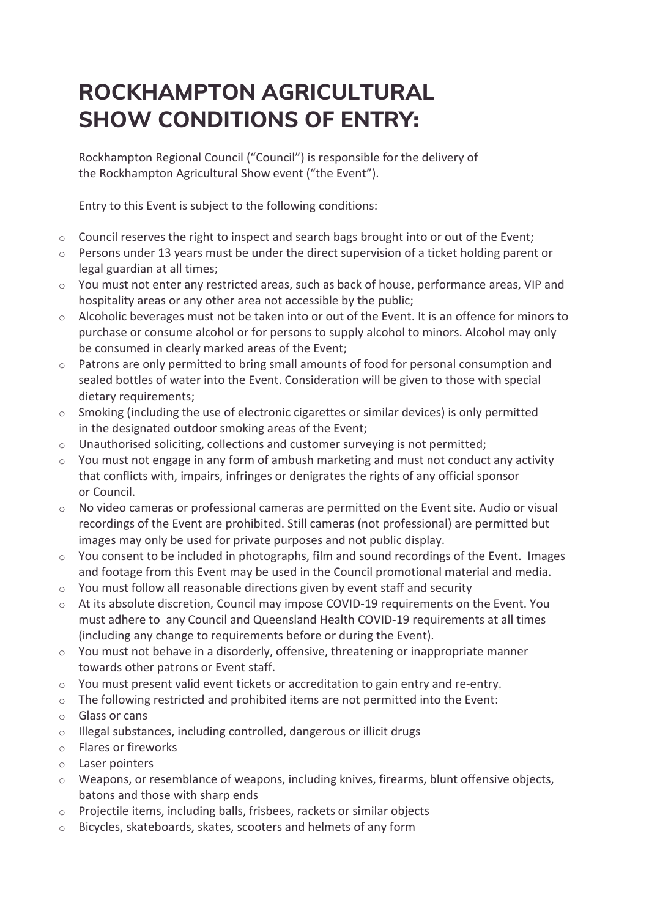# **ROCKHAMPTON AGRICULTURAL SHOW CONDITIONS OF ENTRY:**

Rockhampton Regional Council ("Council") is responsible for the delivery of the Rockhampton Agricultural Show event ("the Event").

Entry to this Event is subject to the following conditions:

- o Council reserves the right to inspect and search bags brought into or out of the Event;
- o Persons under 13 years must be under the direct supervision of a ticket holding parent or legal guardian at all times;
- $\circ$  You must not enter any restricted areas, such as back of house, performance areas, VIP and hospitality areas or any other area not accessible by the public;
- Alcoholic beverages must not be taken into or out of the Event. It is an offence for minors to purchase or consume alcohol or for persons to supply alcohol to minors. Alcohol may only be consumed in clearly marked areas of the Event;
- o Patrons are only permitted to bring small amounts of food for personal consumption and sealed bottles of water into the Event. Consideration will be given to those with special dietary requirements;
- o Smoking (including the use of electronic cigarettes or similar devices) is only permitted in the designated outdoor smoking areas of the Event;
- o Unauthorised soliciting, collections and customer surveying is not permitted;
- You must not engage in any form of ambush marketing and must not conduct any activity that conflicts with, impairs, infringes or denigrates the rights of any official sponsor or Council.
- o No video cameras or professional cameras are permitted on the Event site. Audio or visual recordings of the Event are prohibited. Still cameras (not professional) are permitted but images may only be used for private purposes and not public display.
- $\circ$  You consent to be included in photographs, film and sound recordings of the Event. Images and footage from this Event may be used in the Council promotional material and media.
- $\circ$  You must follow all reasonable directions given by event staff and security
- o At its absolute discretion, Council may impose COVID-19 requirements on the Event. You must adhere to any Council and Queensland Health COVID-19 requirements at all times (including any change to requirements before or during the Event).
- o You must not behave in a disorderly, offensive, threatening or inappropriate manner towards other patrons or Event staff.
- $\circ$  You must present valid event tickets or accreditation to gain entry and re-entry.
- $\circ$  The following restricted and prohibited items are not permitted into the Event:
- o Glass or cans
- o Illegal substances, including controlled, dangerous or illicit drugs
- o Flares or fireworks
- o Laser pointers
- o Weapons, or resemblance of weapons, including knives, firearms, blunt offensive objects, batons and those with sharp ends
- o Projectile items, including balls, frisbees, rackets or similar objects
- o Bicycles, skateboards, skates, scooters and helmets of any form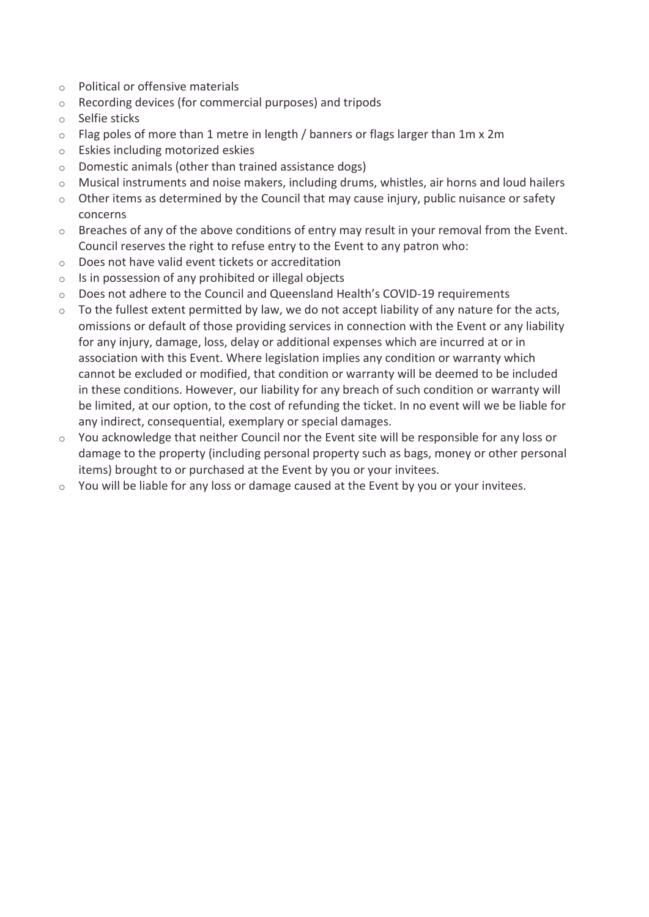- o Political or offensive materials
- o Recording devices (for commercial purposes) and tripods
- o Selfie sticks
- $\circ$  Flag poles of more than 1 metre in length / banners or flags larger than 1m x 2m
- o Eskies including motorized eskies
- o Domestic animals (other than trained assistance dogs)
- $\circ$  Musical instruments and noise makers, including drums, whistles, air horns and loud hailers
- $\circ$  Other items as determined by the Council that may cause injury, public nuisance or safety concerns
- o Breaches of any of the above conditions of entry may result in your removal from the Event. Council reserves the right to refuse entry to the Event to any patron who:
- o Does not have valid event tickets or accreditation
- o Is in possession of any prohibited or illegal objects
- o Does not adhere to the Council and Queensland Health's COVID-19 requirements
- $\circ$  To the fullest extent permitted by law, we do not accept liability of any nature for the acts, omissions or default of those providing services in connection with the Event or any liability for any injury, damage, loss, delay or additional expenses which are incurred at or in association with this Event. Where legislation implies any condition or warranty which cannot be excluded or modified, that condition or warranty will be deemed to be included in these conditions. However, our liability for any breach of such condition or warranty will be limited, at our option, to the cost of refunding the ticket. In no event will we be liable for any indirect, consequential, exemplary or special damages.
- o You acknowledge that neither Council nor the Event site will be responsible for any loss or damage to the property (including personal property such as bags, money or other personal items) brought to or purchased at the Event by you or your invitees.
- o You will be liable for any loss or damage caused at the Event by you or your invitees.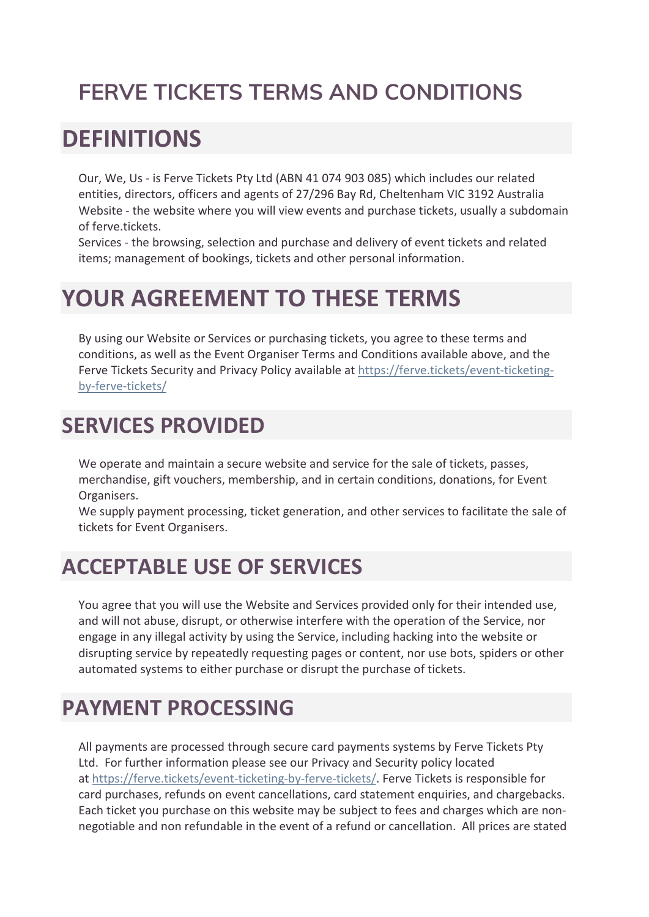# **FERVE TICKETS TERMS AND CONDITIONS**

# **DEFINITIONS**

Our, We, Us - is Ferve Tickets Pty Ltd (ABN 41 074 903 085) which includes our related entities, directors, officers and agents of 27/296 Bay Rd, Cheltenham VIC 3192 Australia Website - the website where you will view events and purchase tickets, usually a subdomain of ferve.tickets.

Services - the browsing, selection and purchase and delivery of event tickets and related items; management of bookings, tickets and other personal information.

# **YOUR AGREEMENT TO THESE TERMS**

By using our Website or Services or purchasing tickets, you agree to these terms and conditions, as well as the Event Organiser Terms and Conditions available above, and the Ferve Tickets Security and Privacy Policy available at [https://ferve.tickets/event-ticketing](https://ferve.tickets/event-ticketing-by-ferve-tickets/)[by-ferve-tickets/](https://ferve.tickets/event-ticketing-by-ferve-tickets/)

## **SERVICES PROVIDED**

We operate and maintain a secure website and service for the sale of tickets, passes, merchandise, gift vouchers, membership, and in certain conditions, donations, for Event Organisers.

We supply payment processing, ticket generation, and other services to facilitate the sale of tickets for Event Organisers.

## **ACCEPTABLE USE OF SERVICES**

You agree that you will use the Website and Services provided only for their intended use, and will not abuse, disrupt, or otherwise interfere with the operation of the Service, nor engage in any illegal activity by using the Service, including hacking into the website or disrupting service by repeatedly requesting pages or content, nor use bots, spiders or other automated systems to either purchase or disrupt the purchase of tickets.

## **PAYMENT PROCESSING**

All payments are processed through secure card payments systems by Ferve Tickets Pty Ltd. For further information please see our Privacy and Security policy located at [https://ferve.tickets/event-ticketing-by-ferve-tickets/.](https://ferve.tickets/event-ticketing-by-ferve-tickets/) Ferve Tickets is responsible for card purchases, refunds on event cancellations, card statement enquiries, and chargebacks. Each ticket you purchase on this website may be subject to fees and charges which are nonnegotiable and non refundable in the event of a refund or cancellation. All prices are stated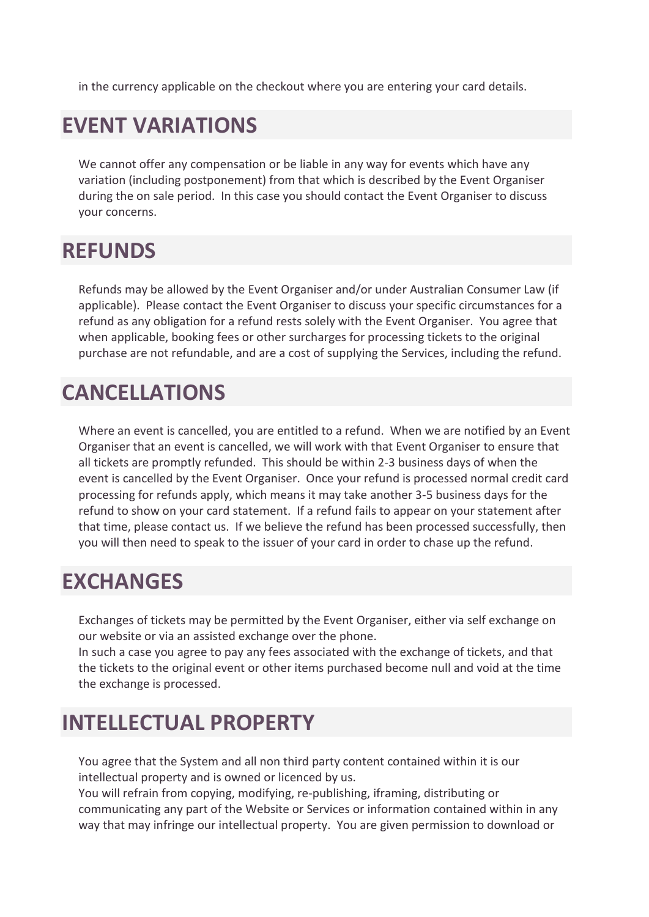in the currency applicable on the checkout where you are entering your card details.

## **EVENT VARIATIONS**

We cannot offer any compensation or be liable in any way for events which have any variation (including postponement) from that which is described by the Event Organiser during the on sale period. In this case you should contact the Event Organiser to discuss your concerns.

#### **REFUNDS**

Refunds may be allowed by the Event Organiser and/or under Australian Consumer Law (if applicable). Please contact the Event Organiser to discuss your specific circumstances for a refund as any obligation for a refund rests solely with the Event Organiser. You agree that when applicable, booking fees or other surcharges for processing tickets to the original purchase are not refundable, and are a cost of supplying the Services, including the refund.

#### **CANCELLATIONS**

Where an event is cancelled, you are entitled to a refund. When we are notified by an Event Organiser that an event is cancelled, we will work with that Event Organiser to ensure that all tickets are promptly refunded. This should be within 2-3 business days of when the event is cancelled by the Event Organiser. Once your refund is processed normal credit card processing for refunds apply, which means it may take another 3-5 business days for the refund to show on your card statement. If a refund fails to appear on your statement after that time, please contact us. If we believe the refund has been processed successfully, then you will then need to speak to the issuer of your card in order to chase up the refund.

#### **EXCHANGES**

Exchanges of tickets may be permitted by the Event Organiser, either via self exchange on our website or via an assisted exchange over the phone.

In such a case you agree to pay any fees associated with the exchange of tickets, and that the tickets to the original event or other items purchased become null and void at the time the exchange is processed.

# **INTELLECTUAL PROPERTY**

You agree that the System and all non third party content contained within it is our intellectual property and is owned or licenced by us.

You will refrain from copying, modifying, re-publishing, iframing, distributing or communicating any part of the Website or Services or information contained within in any way that may infringe our intellectual property. You are given permission to download or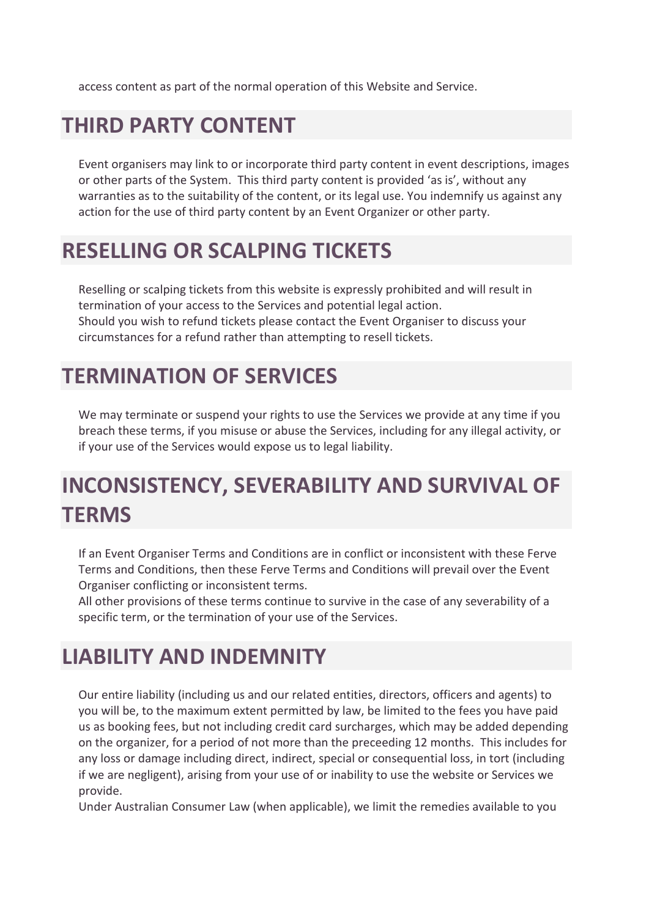access content as part of the normal operation of this Website and Service.

## **THIRD PARTY CONTENT**

Event organisers may link to or incorporate third party content in event descriptions, images or other parts of the System. This third party content is provided 'as is', without any warranties as to the suitability of the content, or its legal use. You indemnify us against any action for the use of third party content by an Event Organizer or other party.

## **RESELLING OR SCALPING TICKETS**

Reselling or scalping tickets from this website is expressly prohibited and will result in termination of your access to the Services and potential legal action. Should you wish to refund tickets please contact the Event Organiser to discuss your circumstances for a refund rather than attempting to resell tickets.

# **TERMINATION OF SERVICES**

We may terminate or suspend your rights to use the Services we provide at any time if you breach these terms, if you misuse or abuse the Services, including for any illegal activity, or if your use of the Services would expose us to legal liability.

# **INCONSISTENCY, SEVERABILITY AND SURVIVAL OF TERMS**

If an Event Organiser Terms and Conditions are in conflict or inconsistent with these Ferve Terms and Conditions, then these Ferve Terms and Conditions will prevail over the Event Organiser conflicting or inconsistent terms.

All other provisions of these terms continue to survive in the case of any severability of a specific term, or the termination of your use of the Services.

# **LIABILITY AND INDEMNITY**

Our entire liability (including us and our related entities, directors, officers and agents) to you will be, to the maximum extent permitted by law, be limited to the fees you have paid us as booking fees, but not including credit card surcharges, which may be added depending on the organizer, for a period of not more than the preceeding 12 months. This includes for any loss or damage including direct, indirect, special or consequential loss, in tort (including if we are negligent), arising from your use of or inability to use the website or Services we provide.

Under Australian Consumer Law (when applicable), we limit the remedies available to you